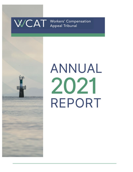



# **ANNUAL** 2021 **REPORT**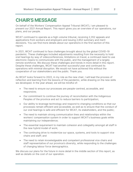# **CHAIR'S MESSAGE**

On behalf of the Workers' Compensation Appeal Tribunal (WCAT), I am pleased to present our 2021 Annual Report. This report gives you an overview of our operations, our plans, and our people.

WCAT continued to operate as a high-volume tribunal, receiving 2,352 appeals and applications from workers and employers and issuing 2,652 summary and merit decisions. You can find more details about our operations in the first section of this report.

In 2021, WCAT continued to face challenges brought about by the global COVID-19 pandemic. These challenges included adjustments resulting from the necessity to hold oral hearings by way of videoconferences, limitations on travel, a continued need to use electronic means to communicate with the public, and the management of a largely remote workforce. We discuss these challenges and trends in more detail in this report. Despite these challenges, WCAT had another successful year and continued its operations with minimal disruption. We would not have achieved this without the cooperation of our stakeholders and the public. Thank you.

As WCAT looks forward to 2022, in my role as the new chair, I will lead the process of reflection and learning from the lessons of the pandemic, while drawing on the new skills we developed. In the year ahead, we will be mindful of:

- The need to ensure our processes are people-centred, accessible, and responsive;
- Our commitment to continue the journey of reconciliation with the Indigenous Peoples of the province and act to reduce barriers to participation;
- Our ability to leverage technology and respond to changing conditions so that our processes remain efficient and accessible, as well as to ensure that the conduct of our oral hearings is safe and efficient for WCAT, its stakeholders, and the public;
- The need to maintain strong communication lines and relationships within the workers' compensation system in order to support WCAT's business goals while maintaining our independence;
- The essential requirement to maintain cohesion and collegiality amongst all staff in the new hybrid model of work;
- The continuing drive to modernize our space, systems, and tools to support vice chairs and staff; and
- The need to retain knowledgeable and competent professional vice chairs and staff representative of our province's diversity, while responding to the challenges of changing labour force demographics.

We discuss our plans for the future in more detail in the middle section of this report, as well as details on the cost of our operation.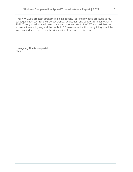Finally, WCAT's greatest strength lies in its people. I extend my deep gratitude to my colleagues at WCAT for their perseverance, dedication, and support for each other in 2021. Through their commitment, the vice chairs and staff of WCAT ensured that the workers, the employers, and the public in BC were served within our guiding principles. You can find more details on the vice chairs at the end of this report.

Luningning Alcuitas-Imperial Chair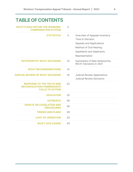# **TABLE OF CONTENTS**

**[WCAT'S ROLE WITHIN THE WORKERS'](#page-4-0)  [COMPENSATION SYSTEM](#page-4-0)** 5

| <b>STATISTICS</b>                                                                                | 5  | Overview of Appeals Inventory<br>Time to Decision<br>Appeals and Applications<br>Method of Oral Hearing<br><b>Appellants and Applicants</b><br>Representation |
|--------------------------------------------------------------------------------------------------|----|---------------------------------------------------------------------------------------------------------------------------------------------------------------|
| <b>NOTEWORTHY WCAT DECISIONS</b>                                                                 | 14 | Summaries of New Noteworthy<br><b>WCAT Decisions in 2021</b>                                                                                                  |
| <b>WCAT RECONSIDERATIONS</b>                                                                     | 15 |                                                                                                                                                               |
| <b>JUDICIAL REVIEW OF WCAT DECISIONS</b>                                                         | 16 | <b>Judicial Review Applications</b><br><b>Judicial Review Decisions</b>                                                                                       |
| <b>RESPONSE TO THE TRUTH AND</b><br><b>RECONCILIATION COMMISSION'S</b><br><b>CALLS TO ACTION</b> | 22 |                                                                                                                                                               |
| <b>EDUCATION</b>                                                                                 | 25 |                                                                                                                                                               |
| <b>OUTREACH</b>                                                                                  | 26 |                                                                                                                                                               |
| <b>UPDATE ON LEGISLATION AND</b><br><b>PROCEDURES</b>                                            | 26 |                                                                                                                                                               |
| <b>TRENDS AND PLANS</b>                                                                          | 29 |                                                                                                                                                               |
| <b>COST OF OPERATION</b>                                                                         | 33 |                                                                                                                                                               |
| <b>WCAT VICE CHAIRS</b>                                                                          | 34 |                                                                                                                                                               |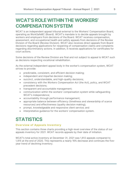# <span id="page-4-0"></span>**WCAT'S ROLE WITHIN THE WORKERS' COMPENSATION SYSTEM**

WCAT is an independent appeal tribunal external to the Workers' Compensation Board, operating as WorkSafeBC (Board). WCAT's mandate is to decide appeals brought by workers and employers from decisions of the Board. WCAT receives compensation, assessment, and occupational health and safety appeals from decisions of the Review Division of the Board (Review Division). WCAT also receives direct appeals from Board decisions regarding applications for reopening of compensation claims and complaints regarding discriminatory actions. In addition, it receives applications for certificates for court actions.

Some decisions of the Review Division are final and not subject to appeal to WCAT such as decisions respecting vocational rehabilitation.

As the external independent appeal body in the worker's compensation system, WCAT strives to provide:

- predictable, consistent, and efficient decision making;
- independent and impartial decision making;
- succinct, understandable, and high-quality decisions;
- consistency with the *Workers Compensation Act* (the Act), policy, and WCAT precedent decisions;
- transparent and accountable management;
- communication within the workers' compensation system while safeguarding WCAT's independence;
- accountability through performance management;
- appropriate balance between efficiency (timeliness and stewardship of scarce resources) and effectiveness (quality decision making);
- prompt, knowledgeable and responsive client service; and
- interpretative guidance for the workers' compensation system.

# <span id="page-4-1"></span>**STATISTICS**

#### **Overview of Appeals Inventory**

This section contains three charts providing a high-level overview of the status of our appeals inventory for 2021. WCAT records appeals by their date of initiation.

WCAT's total active inventory at December 31, 2021 was 1,612 appeals compared to 1,915 at the end of 2020. This represents a nearly 16% decrease and continues the fiveyear trend of declining inventory.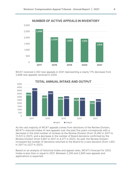

WCAT received 2,352 new appeals in 2021 representing a nearly 17% decrease from 2,848 new appeals received in 2020.



## **TOTAL ANNUAL INTAKE AND OUTPUT**

As the vast majority of WCAT appeals comes from decisions of the Review Division, WCAT's reduced intake of new appeals over the past five years corresponds with a decrease in the total number of reviews at the Review Division (from 14,482 in 2017 to 13,521 in 2021), and a decrease in the number of Board decisions confirmed by the Review Division (from 5,907 in 2017 to 4,277 in 2021). As well, the Review Division increased the number of decisions returned to the Board for a new decision (from 1,452 in 2017 to 2227 in 2021).

Based on an analysis of historical intake and appeal rates, WCAT's forecast for 2022 intake is less than or equal to 2021. Between 2,200 and 2,600 new appeals and applications is expected.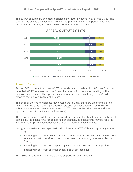The output of summary and merit decisions and determinations in 2021 was 2,652. The chart above shows the changes in WCAT's output over a five-year period. The vast majority of the output, as shown below, consisted of merit decisions.



# **APPEAL OUTPUT BY TYPE**

## **Time to Decision**

Section 306 of the Act requires WCAT to decide new appeals within 180 days from the date that WCAT receives from the Board the records (or disclosure) relating to the decision under appeal. The appeal submission process does not begin until WCAT receives that disclosure from the Board.

The chair or the chair's delegate may extend the 180-day statutory timeframe up to a maximum of 90 days if the appellant requests and receives additional time to make submissions or submit new evidence and WCAT grants to the other parties a similar opportunity (additional time for submissions).

The chair or the chair's delegate may also extend the statutory timeframe on the basis of complexity (additional time for decision). For example, additional time may be required where a WCAT panel finds it necessary to pursue further investigations.

Lastly, an appeal may be suspended in situations where WCAT is waiting for any of the following:

- a pending Board determination that was requested by a WCAT panel with respect to a matter that it considers should have been, but was not, determined by the Board;
- a pending Board decision respecting a matter that is related to an appeal; or,
- a pending report from an independent health professional.

The 180-day statutory timeframe clock is stopped in such situations.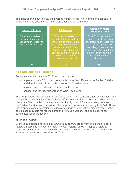The illustration below reflects the average number of days for completing appeals in 2021, taking into account the various situations described above.

| <b>Notice of Appeal</b>                                                                                  | <b>All Appeals</b>                                                                                                                                                                                                                                | <b>Appeals With No</b><br><b>Additional Time</b>                                                                                                                                                                                        |
|----------------------------------------------------------------------------------------------------------|---------------------------------------------------------------------------------------------------------------------------------------------------------------------------------------------------------------------------------------------------|-----------------------------------------------------------------------------------------------------------------------------------------------------------------------------------------------------------------------------------------|
| Time from the date of<br>receipt of the notice of<br>appeal to the date the<br>final decision is issued. | Time from the date of<br>receipt of disclosure from<br>the Board to the date the<br>final decision is issued for<br>all appeals (including<br>those where additional<br>time for submissions and<br>additional time for<br>decision was granted). | Time from the date of<br>receipt of disclosure from<br>the Board to the date the<br>final decision is issued<br>(excluding appeals where<br>there was either additional<br>time for submissions or<br>additional time for<br>decision). |
| 276                                                                                                      | 204                                                                                                                                                                                                                                               | 112                                                                                                                                                                                                                                     |

## **Appeals and Applications**

Appeals and applications to WCAT are comprised of:

- appeals to WCAT from decisions made by review officers in the Review Division and direct appeals from decisions of other Board officers;
- applications for certificates for court actions; and,
- applications for reconsideration of WCAT decisions.

The Act provides that parties may appeal to WCAT from compensation, assessment, and occupational health and safety decisions of the Review Division. The Act also provides that some Board decisions are appealable directly to WCAT without being reviewed by the Review Division, and that some other applications are made directly to WCAT. These direct appeals and applications include reopenings on application, discriminatory action complaints, requests for reconsideration of WCAT decisions, and applications for certificates for court actions.

#### **a) Type of Appeal**

Of the 2,352 appeals received by WCAT in 2021, 90% arose from decisions of Board review officers and 10% were direct. The vast majority of WCAT appeals relate to compensation matters. The following two charts show the breakdown of the types of appeals and applications received in 2021: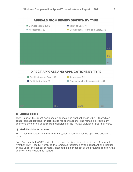

#### **b) Merit Decisions**

WCAT made 1,894 merit decisions on appeals and applications in 2021, 36 of which concerned applications for certificates for court actions. The remaining 1,858 merit decisions concerned appeals from decisions of the Review Division or Board officers.

#### **c) Merit Decision Outcomes**

WCAT has the statutory authority to vary, confirm, or cancel the appealed decision or order.

"Vary" means that WCAT varied the previous decision in whole or in part. As a result, whether WCAT has fully granted the remedies requested by the appellant on all issues arising under the appeal or merely changed a minor aspect of the previous decision, the decision is considered as "varied."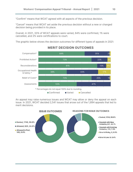"Confirm" means that WCAT agreed with all aspects of the previous decision.

"Cancel" means that WCAT set aside the previous decision without a new or changed decision being provided in its place.

Overall, in 2021, 33% of WCAT appeals were varied, 64% were confirmed, 1% were cancelled, and 2% were certifications to court.

The graphic below shows the decision outcomes for different types of appeals in 2021:



# **MERIT DECISION OUTCOMES**

An appeal may raise numerous issues and WCAT may allow or deny the appeal on each issue. In 2021, WCAT decided 2,541 issues that arose out of the 1,894 appeals that led to merit decisions.

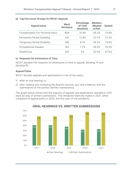#### **d) Top Five Issue Groups for WCAT Appeals**

| <b>Appeal Issue</b>                     | <b>Merit</b><br><b>Decisions</b> | <b>Percentage</b><br>of Total<br><b>Decisions</b> | Allowed /<br><b>Allowed</b><br>in Part | <b>Denied</b> |
|-----------------------------------------|----------------------------------|---------------------------------------------------|----------------------------------------|---------------|
| <b>Compensation For Personal Injury</b> | 809                              | 31.9%                                             | 26.2%                                  | 73.8%         |
| <b>Permanent Partial Disability</b>     | 351                              | 13.8%                                             | 52.7%                                  | 47.3%         |
| <b>Temporary Partial Disability</b>     | 206                              | 8.1%                                              | 26.2%                                  | 73.8%         |
| <b>Occupational Disease</b>             | 183                              | 7.2%                                              | 29.5%                                  | 70.5%         |
| <b>HealthCare</b>                       | 126                              | 5%                                                | 32.5%                                  | 67.5%         |

#### **e) Requests for Extensions of Time**

WCAT decided 140 requests for extensions of time to appeal; allowing 75 and denying 65.

#### **Appeal Paths**

WCAT decides appeals and applications in one of two ways:

- 1) after an oral hearing; or,
- 2) after reading and reviewing the Board's records, any new evidence, and the submissions of the parties (written submissions).

The graph below shows that the majority of appeals and applications decided in 2021 were by way of written submissions. This remained relatively stable in 2021, when compared to appeal paths in 2020, the first year of the pandemic.



## **ORAL HEARINGS VS. WRITTEN SUBMISSIONS**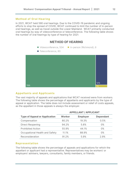#### **Method of Oral Hearing**

In 2021, WCAT held 590 oral hearings. Due to the COVID-19 pandemic and ongoing efforts to stop the spread of COVID, WCAT continued to limit the number of in-person oral hearings, as well as travel outside the Lower Mainland. WCAT primarily conducted oral hearings by way of videoconference or teleconference. The following table shows the number of oral hearings by type of hearing for 2021:

# **METHOD OF HEARING**

- Videoconference, 504 In-person (Richmond), 6
- Teleconference, 80



## **Appellants and Applicants**

The vast majority of appeals and applications that WCAT received were from workers. The following table shows the percentage of appellants and applicants by the type of appeal or application. The table does not include assessment or relief of costs appeals, as the appellant in those appeals is always the employer.

|                                      | <b>APPELLANT / APPLICANT</b> |                 |                  |
|--------------------------------------|------------------------------|-----------------|------------------|
| <b>Type of Appeal or Application</b> | <b>Worker</b>                | <b>Employer</b> | <b>Dependant</b> |
| Compensation                         | 80.2%                        | 19.3%           | 0.5%             |
| <b>Direct Reopening</b>              | 94.2%                        | 5.8%            | $0\%$            |
| <b>Prohibited Action</b>             | 55.9%                        | 44.1%           | 0%               |
| Occupational Health and Safety       | 11.1%                        | 88.9%           | $0\%$            |
| Reconsideration                      | 91.2%                        | 5.9%            | 2.9%             |

#### **Representation**

The following table shows the percentage of appeals and applications for which the appellant or applicant had a representative. Representatives may be workers' or employers' advisers, lawyers, consultants, family members, or friends.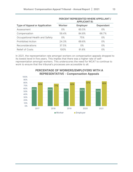|                                      | <b>PERCENT REPRESENTED WHERE APPELLANT /</b><br><b>APPLICANT IS:</b> |                 |                  |  |
|--------------------------------------|----------------------------------------------------------------------|-----------------|------------------|--|
| <b>Type of Appeal or Application</b> | <b>Worker</b>                                                        | <b>Employer</b> | <b>Dependant</b> |  |
| Assessment                           | $0\%$                                                                | 60.5%           | 0%               |  |
| Compensation                         | 59.4%                                                                | 84.8%           | 66.7%            |  |
| Occupational Health and Safety       | 0%                                                                   | 75%             | $0\%$            |  |
| <b>Prohibited Action</b>             | 24.3%                                                                | 69.6%           | $0\%$            |  |
| <b>Reconsiderations</b>              | 37.5%                                                                | 0%              | 0%               |  |
| <b>Relief of Costs</b>               | 100%                                                                 | 91.6%           | $0\%$            |  |

In 2021, the representation rate amongst workers on compensation appeals dropped to its lowest level in five years. This implies that there was a higher rate of selfrepresentation amongst workers. This underscores the need for WCAT to continue to work to ensure that the tribunal's processes are accessible to all.



# **PERCENTAGE OF WORKERS/EMPLOYERS WITH A REPRESENTATIVE - Compensation Appeals**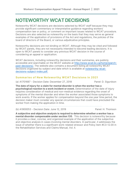# <span id="page-13-0"></span>**NOTEWORTHY WCAT DECISIONS**

Noteworthy WCAT decisions are decisions selected by WCAT staff because they may provide significant commentary or interpretative guidance regarding workers' compensation law or policy, or comment on important issues related to WCAT procedure. Decisions are also selected as noteworthy on the basis that they may serve as general examples of the application of provisions of the Act and regulations, the policies of the board of directors of the Board, or various adjudicative principles.

Noteworthy decisions are not binding on WCAT. Although they may be cited and followed by WCAT panels, they are not necessarily intended to become leading decisions. It is open to WCAT panels to consider any previous WCAT decision in the course of considering an appeal or application.

WCAT decisions, including noteworthy decisions and their summaries, are publicly accessible and searchable on the WCAT website at [http://www.wcat.bc.ca/home/search](http://www.wcat.bc.ca/home/search-past-decisions/)[past-decisions/.](http://www.wcat.bc.ca/home/search-past-decisions/) The website also contains a document listing all noteworthy WCAT decisions organized by subject and date which is available at [noteworthy-wcat](https://www.wcat.bc.ca/app/uploads/sites/638/2022/01/noteworthy-wcat-decisions-subject-index.pdf)[decisions-subject-index.pdf.](https://www.wcat.bc.ca/app/uploads/sites/638/2022/01/noteworthy-wcat-decisions-subject-index.pdf)

## **Summaries of New Noteworthy WCAT Decisions in 2021**

(a) A1701687 - Decision Date: December 27, 2018 Panel: D. Sigurdson

**The date of injury for a claim for mental disorder is when the worker has a psychological reaction to a work incident or event.** Determination of the date of injury requires consideration of medical and non-medical evidence regarding the onset of symptoms of the mental disorder and when the worker associated those symptoms to work events. If the worker applies for compensation beyond the one year time period, the decision maker must consider any special circumstances that could have precluded the worker from making the application in time.

(b) A1900053 - Decision Date: June 12, 2019 Panel: H. Thomson

**A subjective and objective analysis is required to determine whether a worker has a mental disorder compensable under section 135**. This decision is noteworthy because it provides a clear, concise, and organized example of the application of the subjective and objective analysis in cases involving mental disorders. In particular, it addresses the issue of whether there is a significant work-related stressor and Policy item #C3-12.00 in the Rehabilitation Services and Claims Manual, Vol. II.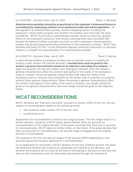#### (c) A2001695 - Decision Date: July 21, 2021 Panel: A. Banerjee

**Administrative penalties should be proportional to the employer's blameworthiness in committing the underlying violation of occupational health and safety legislation.** On this appeal of an administrative penalty, several mitigating factors including the employer's robust safety program and whether the violation was truly high risk were considered. WCAT found that an administrative penalty would not have any greater effect on the employer's behaviour than would a warning letter and concluded that despite the deterrent effect a penalty may have on other employers, the prospective penalty was grossly disproportionate punishment of the employer's conduct. WCAT was satisfied that policy P2-95-1 of the *Prevention Manual* conferred a discretion on decisionmakers to consider the proportionality of an administrative penalty.

#### <span id="page-14-0"></span>(d) A2002725 – Decision Date: July 6, 2021 Panel: E. Murray

In determining whether a workplace incident was a traumatic event or a significant stressor under section 135 (mental disorder), **consideration must be given to the worker's general characteristics based on an objective and subjective analysis**. To apply the analysis, the decision maker must distinguish between when the worker's general characteristics affect the worker's perception of the reality of the workplace event or stressor versus the general characteristics that make the reality of the workplace event or stressor more impactful on the worker than it would be on someone without those general characteristics. When the worker's general characteristics affect the worker's perception of the reality of the event or stressor, less weight should be given to the general characteristics, and more weight should be given to the objective reality.

# **WCAT RECONSIDERATIONS**

WCAT decisions are "final and conclusive" pursuant to section 255(1) of the Act, but are subject to reconsideration based on two limited grounds:

- new evidence under section 310 of the Act; and,
- jurisdictional error.

Applications for reconsideration involve a two-stage process. The first stage results in a written decision, issued by a WCAT panel, about whether there are grounds for reconsideration of the original decision. If the panel concludes that there are no grounds for reconsideration, WCAT takes no further action on the matter. If the panel decides that there are grounds for reconsideration, the second-stage is engaged and the original decision is reconsidered.

The analysis in the first and second stages of the process differs depending on the grounds argued by the party applying for a reconsideration.

On an application to reconsider a WCAT decision on the new evidence ground, the panel will determine whether the evidence is substantial and material to the decision, and whether the evidence did not exist at the time of the hearing or did exist at that time, but was not discovered and could not have been discovered through the exercise of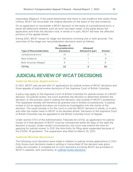reasonable diligence. If the panel determines that there is new evidence that meets those criteria, WCAT will reconsider the original decision on the basis of the new evidence.

On an application to reconsider a WCAT decision on the basis of a jurisdictional error, a panel will determine whether such an error has been made. If the panel allows the application and finds the decision void, in whole or in part, WCAT will hear the affected portions of the appeal afresh.

During 2021, WCAT issued 32 stage one decisions involving one or both grounds. The outcomes of the stage one reconsideration decisions were as follows:

| <b>Type of Reconsideration</b> | Number of<br><b>Reconsideration</b><br><b>Decisions</b> | Allowed/<br><b>Allowed in part</b> | <b>Denied</b> |
|--------------------------------|---------------------------------------------------------|------------------------------------|---------------|
| Jurisdictional Error           | 13                                                      |                                    |               |
| New Evidence                   | 10                                                      |                                    |               |
| <b>Both Grounds Alleged</b>    | 9                                                       |                                    |               |
| TOTAL                          | 32                                                      |                                    | 28            |

# <span id="page-15-0"></span>**JUDICIAL REVIEW OF WCAT DECISIONS**

## **Judicial Review Applications**

In 2021, WCAT was served with 27 applications for judicial review of WCAT decisions and three appeals of judicial review decisions of the Supreme Court of British Columbia.

A party may apply to the Supreme Court of British Columbia for judicial review of a WCAT decision. On judicial review, the court examines the decision to determine whether the decision, or the process used in making the decision, was outside of WCAT's jurisdiction. The requested remedy will therefore be granted only in limited circumstances. A judicial review is not an appeal and does not involve an investigation into the merits of the decision. The usual remedy is for the court to void the WCAT decision in whole, or in part, and refer the matter back to WCAT to be decided afresh. Decisions of the Supreme Court of British Columbia may be appealed to the British Columbia Court of Appeal.

Under section 57(1) of the *Administrative Tribunals Act* (ATA), an application for judicial review of a final decision of WCAT must be commenced within 60 days of the date the decision is issued. Under certain circumstances, the court may extend the time for applying for judicial review. In 2021 the time limits for filing were suspended because of the COVID-19 pandemic. The suspension was lifted on March 25, 2021.

## **Judicial Review Decisions**

The following court decisions were made in relation to judicial review applications in 2021. Only those court decisions made in writing or transcribed (if the decision was given orally) are included. A complete list of court decisions involving WCAT are provided on WCAT's website, with summaries, at [Judicial review decisions.](https://www.wcat.bc.ca/home/resources/judicial-review-decisions/)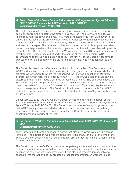#### *a) Brown Bros. Motor Lease Canada Ltd. v. Workers' Compensation Appeal Tribunal, 2021 BCSC 53 (January 14, 2021)* **affirmed** *2022 BCCA 20* **Decision under review: A1603743**

The flight crew of a U.S.-based airline were injured in a motor vehicle accident while being driven from their hotel to the airport in Vancouver. The crew were on a layover, taking required rest between flights. They were scheduled to fly from Vancouver to the United States. Each of the crew members was an American citizen. Each crew member commenced litigation in B.C. suing those they alleged to be responsible for the accident and seeking damages. The defendant driver was in the course of his employment when the accident happened and the defendants pleaded that the action was barred by section 127 of the Act. The plaintiffs applied to the WCAT under section 311 for a determination of whether their injuries arose out of and in the course of their employment. WCAT determined that, through application of policy item AP1-4-1of the Board's *Assessment Manual*, the Act did not apply to the plaintiffs because they had no attachment to B.C. industry.

The Court dismissed the defendant's petition for judicial review. The Court found that WCAT had resolved the appeal by answering in the negative the question of whether the plaintiffs were workers to whom the Act applied. As this was a question of statutory interpretation, with reference to policy item AP1-4-1, the WCAT decision could only be disturbed if the tribunal made a patently unreasonable finding. The court concluded that WCAT's finding was not patently unreasonable. Policy AP1-4-1 notes that when the flight crew of an airline from outside B.C. are on a "turn-around" flight, they may be excluded from coverage under the Act. The Court held that it was not unreasonable for WCAT to find that the policy should have the same effect for flight crew on a "layover" rather than a "turn-around".

On January 20, 2022, the B.C. Court of Appeal denied the defendant's appeal of the judicial review decision (*Brown Bros. Motor Lease Canada Ltd. v. Workers' Compensation Appeal Tribunal*, 2022 BCCA 20). The Court found that the reviewing judge was correct that WCAT's analysis was founded on statutory interpretation and was not patently unreasonable. It was therefore unnecessary for the Court to separately address the constitutional applicability of the Act.

#### *b) Halvarson v. Workers' Compensation Appeal Tribunal, 2021 BCSC 71 (January 18, 2021)* **Decision under review: A2000655**

WCAT determined that the petitioner's permanent disability award would end when he turned 65. The petitioner, who was 50 at the time of his injury, and 64 at the time of the Board's decision determining his retirement age, argued that his financial circumstances required him to work to age 75.

The Court found that WCAT's decision was not patently unreasonable and dismissed the petition for judicial review. WCAT was not bound to find in favour of the petitioner simply because his evidence was uncontradicted. It was also not patently unreasonable to conclude that the Act and policy creates a practical presumption on workers to lead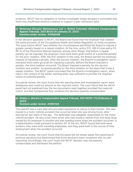evidence. WCAT had no obligation to further investigate simply because it concluded that there was insufficient positive evidence to support a later retirement date.

#### *c) Richmond Elevator Maintenance Ltd. v. British Columbia (Workers Compensation Appeal Tribunal), 2021 BCSC 91 (January 21, 2021)* **Decision under review: A1606046**

In the decision appealed to WCAT, the Board had found that the employer had violated the same provision of the *Occupational Health and Safety Regulation* on three occasions. The issue before WCAT was whether the circumstances permitted the Board to impose a greater penalty based on a repeat violation. At the time, policy D12-196-6 (now policy P2- 95-5) of the *Prevention Manual* required, among other things, that before a repeat penalty can be imposed, the employer must have been given notice of a potential penalty for the prior violation. After the first violation in this case, the Board warned the employer instead of imposing a penalty. After the second violation, the Board's investigation report indicated there were grounds for imposing a penalty. Before the Board imposed a penalty, the third violation occurred. The Board imposed a penalty for the second violation and another, increased penalty for the third violation on the basis that it was a repeat violation. The WCAT panel concluded that the Board's investigation report, when read in the context of the earlier warning letter was sufficient to provide the required notice of potential penalty.

On judicial review, the court found that the warning letter and investigation report were ambiguous and could not amount to the required notice. The court found that the WCAT panel had not explained how the two documents read together provided the required notice, and that fundamental flaw rendered the decision patently unreasonable.

# *d) Dhillon v. Workers' Compensation Appeal Tribunal, 2021 BCSC 174 (February 4, 2021)*

#### **Decision under review: A1901124**

The plaintiff was a care aide who provided assistance to clients in their homes. She was injured in a motor vehicle accident that occurred when she was driving home, after leaving her last client of the day. The defendant was allegedly responsible for the motor vehicle accident. He was a tow truck driver who had towed a vehicle from one body shop owned by his employer to another and was heading home when the accident occurred. In a determination made pursuant to section 311 of the Act, WCAT found that both were workers, they were both traveling employees, and they were both in the course of their employment when the accident occurred.

On judicial review, the court found that the panel did not simply adopt the reasoning of previous decisions but determined that those decisions were consistent with its own reasoning. Accordingly, the court found the WCAT decision was not patently unreasonable and dismissed the petition.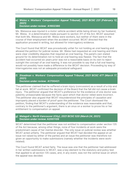#### *e) Weiss v. Workers' Compensation Appeal Tribunal), 2021 BCSC 231 (February 12, 2021)* **Decision under review: A1602380**

Ms. Weissova was injured in a motor vehicle accident while being driven by her husband, Mr. Weiss. In a determination made pursuant to section 311 of the Act, WCAT assumed that both Ms. Weissova and Mr. Weiss were workers, but neither of them were in the course of their employment when the accident occurred. WCAT directed that the application proceed in writing, but allowed for interrogatory evidence.

The Court found that WCAT was procedurally unfair for not holding an oral hearing and allowed the petition for judicial review. Mr. Weiss had requested an oral hearing and there were clear credibility disputes that required an oral hearing. The panel's own stated ground for its determination not to hold an oral hearing was flawed. The fact that the accident had occurred six years prior was not a reasonable basis on its own to reject outright the concept of an oral hearing. It was not possible to say that a full oral hearing would not possibly have made a difference to the WCAT decision. Proceeding by way of interrogatories was not an adequate procedural safeguard.

#### *f) Steadman v. Workers' Compensation Appeal Tribunal, 2021 BCSC 477 (March 17, 2021)* **Decision under review: A1700421**

The petitioner claimed that he suffered a brain injury (concussion) as a result of a trip and fall at work. WCAT confirmed the decision of the Board that the fall did not cause a brain injury. The petitioner argued that WCAT's preference for the evidence of one doctor was patently unreasonable because the facts upon which that doctor relied were incorrect. The petitioner also argued that WCAT misunderstood the principles of causation and improperly placed a burden of proof upon the petitioner. The Court dismissed the petition, finding that WCAT's understanding of the evidence was reasonable and that, contrary to the petitioner's argument, there is an onus on a worker to prove his or her entitlement to compensation on appeal.

#### *g) Malagoli v. North Vancouver (City), 2021 BCSC 520 (March 24, 2021)* **Decision under review: A2001109**

WCAT determined that the petitioner was not entitled to compensation under section 135 of the Act because, among other things, none of four incidents at work were the predominant cause of her mental disorder. The only issue on judicial review was whether WCAT acted unfairly. The petitioner argued that WCAT had decided the appeal on an issue not raised by either of the parties and an issue the petitioner was therefore not given an opportunity to make submissions (namely whether the incidents were workrelated).

The Court found WCAT acted fairly. The issue was one that the petitioner had addressed in her written submissions to WCAT, was a key element to the statutory and policy test that applied to all section 135 cases, and, in any event, was not the central issue on which the appeal was decided.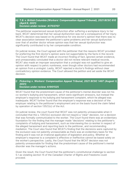#### *h) T.B. v. British Columbia (Workers' Compensation Appeal Tribunal), 2021 BCSC 610 (April 6, 2021)* **Decision under review: A1703707**

The petitioner experienced sexual dysfunction after suffering a workplace injury to her back. WCAT determined that her sexual dysfunction was not a consequence of her injury. WCAT's decision was based on its preference for one doctor's opinion that there was no clear association between the petitioner's spine problems and her sexual dysfunction over that of another doctor whose opinion was that her sexual dysfunction was significantly contributed to by her compensable condition.

On judicial review, the Court agreed with the petitioner that the reasons WCAT provided for preferring the first doctor's opinion were not supportable by the facts in the record. The Court found that WCAT made an incorrect finding of fact, ignored certain evidence, and unreasonably concluded that a doctor did not review relevant medical records. WCAT also made an improper assumption that a urologist was not qualified to give an opinion with respect to pelvic numbness, even though other doctors had recommended an opinion from a urologist. Lastly, WCAT rejected a doctor's findings without clear contradictory opinion evidence. The Court allowed the petition and set aside the WCAT decision.

#### *i) Pickering v. Workers' Compensation Appeal Tribunal, 2021 BCSC 1497 (August 3, 2021)* **Decision under review: A1901525**

WCAT found that the predominant cause of the petitioner's mental disorder was not his co-worker's bullying and harassment, which were significant stressors, but instead the employer's response to his bullying and harassment complaint, which he alleged was inadequate. WCAT further found that the employer's response was a decision of the employer relating to the petitioner's employment and on the basis found the claim failed by operation of section 135(1)(c) of the Act.

On judicial review, the court found that WCAT was not patently unreasonable when it concluded that the s. 135(1)(c) exclusion did not require a "clear" decision, nor a decision that was formally communicated to the worker. The Court found there was an evidentiary foundation for the finding that the manager made "decisions" relating to the petitioner's complaints of bullying and harassment, such as interviewing the co-worker in respect of the alleged harassment and reporting back to the petitioner, and recommending mediation. The Court also found that WCAT's finding that the decisions were captured by the exclusion was not patently unreasonable as there was an evidentiary basis for the finding and it was not an irrational application of legislation and policy. Whether an employer's response to a complaint is effective or ineffective cannot be based solely on the worker's perspective. Lastly, the Court found that the WCAT decision was not patently unreasonable for finding that the predominant cause of the petitioner's mental disorder was the manager's actions.

Given the result, the Court found that the petitioner's constitutional challenge to section 5.1 as violating section 15 of the *Canadian Charter of Rights and Freedoms* could proceed.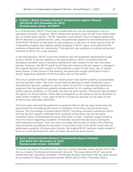#### *j) Erskine v. British Columbia (Workers' Compensation Appeal Tribunal), 2021 BCSC 2322 (November 29, 2021)* **Decision under review: A1700641**

In a 2018 decision, WCAT found that a forklift had run over the petitioner's foot in a workplace accident. However, WCAT denied the worker's claim for left foot, ankle, knee, hip, or lumbar back injuries. The BC Supreme Court and BC Court of Appeal upheld the WCAT decision on judicial review. Later, the petitioner applied for reconsideration of the 2018 WCAT decision on the basis of new evidence, in the form of three reports from an orthopaedic surgeon and related medical imaging. A WCAT panel concluded that the evidence offered was not substantial. That decision was quashed on judicial review and remitted to WCAT for a new decision.

In the new decision, WCAT found the evidence met the threshold requirements under section 256(3) of the Act. Based on the new evidence, WCAT concluded that the workplace accident was of causative significance with respect to left foot and ankle injuries. However, the WCAT panel found the new evidence did not support a change in the original decision with respect to the petitioner's claim for left knee, hip, or lumbar back injuries. In the course of the hearing, the panel had sought clarification from a doctor regarding causation of the foot injury but not the others.

The Court upheld the WCAT decision, finding that it was neither patently unreasonable, nor procedurally unfair. The Court found that the decision to seek clarification was a discretionary decision, subject to section 58(3) of the ATA. It rejected the petitioner's argument that the panel was patently unreasonable for not seeking clarification, or further opinion evidence, on the knee, hip and low back injuries. The doctor had provided his opinion on those injuries. There was no obligation on the panel to use its discretion to seek further evidence. It was open to WCAT to make its decision on the basis of the evidence that had been submitted.

The Court also rejected the petitioner's argument that he did not have notice that the panel would be considering the issue of causation of the knee, hip and lower back injuries. The chronology of events before WCAT, including counsel's instruction letters and the doctor's reports, indicated that causation of the knee, hip and low back conditions were contemplated as issues that were "in play". Counsel sought evidence from the doctor regarding causation of the knee, hip and low back injury during the reconsideration process. Thus, he could not argue that he did not have notice that the issue would be considered by the panel. In any event, even if the WCAT panel had not addressed causation of those other injuries, the original WCAT decision would remain in force as it had dismissed the claim for knee, hip and low back injuries.

#### *k) Ezzo v. British Columbia (Workers' Compensation Appeal Tribunal), 2021 BCSC 2417 (December 10, 2021)* **Decision under review: A1802809**

The Board accepted the petitioner's claim for a mental disorder under section 135 of the Act as a result of bullying and harassment at work. The issue before WCAT was what mental disorder should be accepted. The Review Division had found that the claim should be accepted for Major Depressive Disorder (MDD) and for Post-Traumatic Stress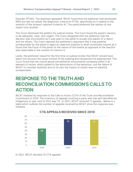Disorder (PTSD). The employer appealed. WCAT found that the petitioner had developed MDD but did not satisfy the diagnostic criteria for PTSD, specifically as it related to the severity of the stressor required (criterion A). The panel preferred the opinion of one expert over another.

The Court dismissed the petition for judicial review. The Court found the panel's reasons to be adequate, clear, and cogent. The Court disagreed with the petitioner that the decision was inconsistent as it was open to the panel to accept one aspect of a report and not others. The Court rejected the petitioner's argument that it was patently unreasonable for the panel to apply an objective analysis to what constitutes trauma as it found that the focus of the panel on the nature of the events as opposed to the reaction was reasonable in the context of criterion A.

Lastly, the petitioner raised for the first time on judicial review that WCAT should have taken into account the racist context of the bullying and harassment he experienced. The Court found that the overall abuse the petitioner encountered contained within it an element of racism, which added to the abhorrence of the behaviour, but the failure of WCAT to consider explicitly and on its own the impact of racism was not patently unreasonable.

# <span id="page-21-0"></span>**[RESPONSE TO THE TRUTH AND](#page-4-0)  [RECONCILIATION COMMISSION'S CALLS TO](#page-4-0)  [ACTION](#page-4-0)**

WCAT initiated its response to the Calls to Action (CTA) of the Truth and Reconciliation Commission in 2019. The inventory of appeals involving a party who has self-identified as Indigenous at year-end of 2021 was 73. In 2021, WCAT received 71 appeals. Below is a table which outlines the number of appeals received by WCAT since the response was initiated.



# **CTA APPEALS RECEIVED SINCE 2019**

In 2021, WCAT decided 74 CTA appeals.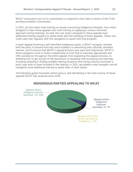WCAT continued to act on its commitment to respond to the Calls to Action of the Truth and Reconciliation Commission.

In 2021, all vice chairs took training on issues concerning Indigenous Peoples. Vice chairs assigned to hear these appeals also took training on applying a trauma-informed approach during hearings. As well, the vice chairs assigned to these appeals took additional training sessions to assist them with the handling of these appeals. These vice chairs also met regularly with the navigators to assist with this program.

In each appeal involving a self-identified Indigenous party, a WCAT [navigator](https://www.wcat.bc.ca/home/self-identify-as-indigenous/#navigator) worked with the party to ensure that they were treated in a welcoming and culturally sensitive manner, and to ensure that WCAT's appeal process was open and responsive. WCAT's three navigators work to build a relationship of trust that is culturally appropriate and offer assistance throughout the entire appeal; from explaining the appeal process, to detailing how to get access to file disclosure, to assisting with accessing oral hearings, including assisting in finding suitable hearing locations and noting cultural processes a party may wish to have included in the hearing. In 2021, we added a new navigator and all navigators took additional training to assist them in their duties.

The following graph illustrates which party is self-identifying in the total volume of these appeals WCAT has received since 2019.



# **INDIGENOUS PARTIES APPEALING TO WCAT**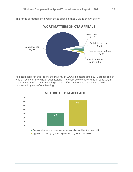The range of matters involved in these appeals since 2019 is shown below:

# **WCAT MATTERS ON CTA APPEALS**



As noted earlier in this report, the majority of WCAT's matters since 2019 proceeded by way of review of the written submissions. The chart below shows that, in contrast, a slight majority of appeals involving self-identified Indigenous parties since 2019 proceeded by way of oral hearing.



# **METHOD OF CTA APPEALS**

Appeals proceeding by or have proceeded by written submissions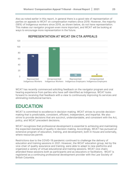Also as noted earlier in this report, in general there is a good rate of representation of parties on appeals to WCAT on compensation matters since 2019. However, the majority (56%) of Indigenous workers since 2019, as shown below, do not have representation. This makes our navigator program even more important, and WCAT will be looking at ways to encourage more representation in the future.



# **REPRESENTATION AT WCAT ON CTA APPEALS**

WCAT has recently commenced soliciting feedback on the navigator program and oral hearing experience from parties who have self-identified as Indigenous. WCAT looks forward to receiving that feedback with a view to continuously improving its services and eliminating institutional barriers.

# <span id="page-24-0"></span>**EDUCATION**

WCAT is committed to excellence in decision-making. WCAT strives to provide decisionmaking that is predictable, consistent, efficient, independent, and impartial. We also strive to provide decisions that are succinct, understandable, and consistent with the Act, policy, and WCAT precedent decisions.

WCAT recognizes that professional development is essential to achieving and maintaining the expected standards of quality in decision-making. Accordingly, WCAT has pursued an extensive program of education, training, and development, both in-house and externally, where resources permit.

Restrictions due to the COVID-19 pandemic continued to challenge the delivery of education and training sessions in 2021. However, the WCAT education group, led by the vice-chair of quality assurance and training, were able to adapt to new platforms and organized a variety of virtual educational and training sessions. WCAT vice chairs attended these sessions both as participants and as educators or facilitators. WCAT is registered as a continuing professional development provider with the Law Society of British Columbia.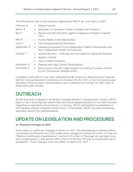| February 4  | Gladue Factors                                                                                                                                                |
|-------------|---------------------------------------------------------------------------------------------------------------------------------------------------------------|
| March 4     | Refresher on Canadian Charter of Rights and Freedom<br>$\bullet$                                                                                              |
| April 1     | Racism and Discrimination against Indigenous Peoples in Health<br>$\bullet$<br>Care                                                                           |
| May 6       | Human Rights Code Adjudication<br>$\bullet$                                                                                                                   |
| June 3      | The Intergenerational Workplace<br>$\bullet$                                                                                                                  |
| September 9 | Obtaining Assistance from Independent Health Professionals and<br>$\bullet$<br>Non-Independent Health Professionals                                           |
| October 7   | Judicial Reviews – A Review and The Need for Adequate Reasons<br>$\bullet$<br><b>Registry Update</b><br>$\bullet$<br><b>Team Leader Feedback</b><br>$\bullet$ |
| November 4  | Dealing with High Conflict Personalities<br>$\bullet$                                                                                                         |
| December 2  | Race Issues in the BC Legal System (recording of session offered<br>$\bullet$<br>by the Courthouse Libraries of BC)                                           |

The following is a list of the sessions organized by WCAT for vice chairs in 2021:

In addition, many WCAT vice chairs attended the BC Council of Administrative Tribunals (BCCAT) Annual Education Conference on October 28-29, 2021, or the Continuing Legal Education (CLE) Society's Administrative Law Conference on October 18, 2021, both of which were held virtually.

# <span id="page-25-0"></span>**OUTREACH**

As the final level of appeal in the British Columbia Workers' Compensation system, WCAT plays a role in ensuring that stakeholders and those appearing before it are well informed regarding its operations and practices. In January, WCAT participated as presenters in the Canadian Labour Congress winter school. In November, WCAT provided its biennial education session for representatives.

# <span id="page-25-1"></span>**UPDATE ON LEGISLATION AND PROCEDURES**

## **a) Statutory Changes in 2021**

There were no significant changes to the Act in 2021. The *Miscellaneous Statutes (Minor Corrections) Amendment Act*, 2021 made minor changes to section 58 in Part 2 of the Act ("Medical certification requirements"), section 221 in Part 4 ("Average net earnings: longterm compensation"), and section 265 in Part 5 of the Act ("Priority as to amounts due to the Board"). Those changes came into effect on March 25, 2021.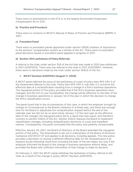There were no amendments to the ATA or to the federal *Government Employees Compensation Act* in 2021.

#### **b) Practice and Procedure**

There were no revisions to WCAT's *Manual of Rules of Practice and Procedure* (MRPP) in 2021.

#### **c) Precedent Panel**

There were no precedent panels appointed under section 285(6) (matters of importance to the workers' compensation system as a whole) of the Act. There were no precedent panel decisions issued or precedent panel appeals in progress in 2021.

#### **d) Section 304 Lawfulness of Policy Referrals**

A referral to the chair under section 304 of the Act that was made in 2020 was withdrawn in 2021 (A2001053). There was one referral to the chair in 2021 (A2002987). However, there were no decisions made by the chair under section 304(3) of the Act.

#### **1. WCAT Decision A2001053 (August 11, 2020)**

A WCAT panel referred the issue of the lawfulness of a part of policy item AP5-244-3 of the *Assessment Manual* to the chair. Policy item AP5-244-3, sub-item 2.2 concerns the effective date of a reclassification resulting from a change in a firm's business operations. The impugned portion of the policy provided that if the firm's business operations have changed, and the firm is now misclassified, the change will be effective on the later of the change in business operations or January 1st of the year in which the decision to change the firm's classification occurs.

The panel found that in the circumstances of this case, in which the employer brought its change of circumstances to the Board's attention in a timely way, and there was enough time for the Board to adjudicate the reclassification request before the end of the calendar year but did not do so (and chose January 1 of the next year as the effective date of the change), the impugned policy led to a result that was unjust, and therefore contrary to section 244(3) of the Act. Section 244(3) requires the Board to implement classification changes, including reclassification decisions, in a just and expedient manner. Consequently, the panel concluded that the policy was patently unreasonable.

Effective January 29, 2021, the Board of Directors of the Board amended the impugned portion of the policy. The amendment is set out in a Resolution of the Board of Directors numbered 2021/01/27-07 and applies to all decisions, including appeals. The new policy provides a discretion to choose a different effective date for the reclassification if an injustice would otherwise result from choosing the later of the two dates, but only if the employer informed the Board of the change in business operations without delay, and provided the Board with sufficient information of that change to make its decision.

On February 2, 2021 the WCAT panel withdrew the lawfulness of policy referral to the chair as a result of the change in policy (WCAT Decision A2001053).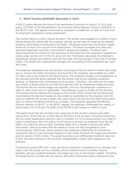#### **2. WCAT Decision A2002987 (December 9, 2021)**

A WCAT panel referred the issue of the lawfulness of portions of policy C3-14.10 and policy 115.30(6) of the *Rehabilitation Services and Claims Manual*, Volume II (RSCM II) to the WCAT chair. The appeal concerned an employer's entitlement to relief of costs from its employer's experience rating assessment.

The worker died in a motor vehicle accident. The worker was engaged in a series of texts shortly before his vehicle left the roadway and the worker was not wearing his seatbelt properly, which likely contributed to his death. The Board found that the worker's death arose out of and in the course of his employment. The Board accepted the claim and awarded dependent benefits to the worker's widow and children. The Board also determined that the criteria for the exclusion of the claim from the employer's experience rating under section 247 of the Act were not met. The Board calculated the employer's experience rating in accordance with the five-year moving average of the cost of all fatal claims. The Board then reduced the average cost according to the established per claim limit rules.

The employer disagreed with this decision and argued that the worker's death was solely due to serious and wilful misconduct and therefore the employer was entitled to a relief of claim costs in accordance with Board policy. The employer sought a reconsideration of this decision and the Board advised that the worker had no pre-existing conditions, disease, or illnesses that contributed to his accident. Therefore, the claim did not meet any criteria in Board policy to provide the employer with an experience rating exclusion. The worker did not receive wage-loss benefits, and thus the employer's reference to relief of claim costs was not applicable. The employer sought a review of this decision. The Review Division denied the request as the review officer found that the Board had reconsidered the decision based on new evidence submitted by the employer and the issue of whether the worker's death was solely due to the serious and wilful misconduct was not before the Review Division to consider. The employer appealed the Review Division decision to WCAT. In the WCAT appeal, the employer challenged the validity of policy items C3-14.10 and 115.30(6) of the RSCM II with respect to relief of costs.

The panel found that the accident was solely due to the worker's serious and wilful misconduct. Given that the worker died at the time of the accident, the panel found that the ten-week qualification period in item D of policy C3-14.10 would prevent any relief of costs. Furthermore, item 6 in policy 115.30 serves to protect an employer from the full effect of a claim for serious injury resulting solely from a worker's serious and wilful misconduct. Item 6 provides that ten weeks of costs are still chargeable in such circumstances. Effectively, these policies treat employers differently for experience rating and relief of costs purposes based on a ten-week threshold for wage-loss benefits paid on section 134(2) claims. The panel found that such differential treatment does not further the best interests of the workers' compensation system and it appears to be arbitrary.

Furthermore, policy AP5-247-1 sets out that an employer is assessed on an average cost rather than the actual cost for a fatality, which includes survivor benefits, funeral benefits, and any medical treatment and wage loss prior to the worker's death. Therefore, the panel found it unclear why the serious and wilful misconduct policy references only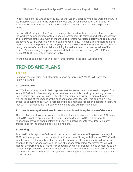"wage-loss benefits". As section 134(2) of the Act only applies when the worker's injury is attributable solely due to the worker's serious and wilful misconduct, there does not appear to be any rational basis for these claims to impact an employer's experience rating.

Section 239(2) requires the Board to manage the accident fund in the best interests of the workers compensation system. These interests include fairness and risk assessment, and to provide employers with an incentive to promote workplace safety and remove the disincentive to hire workers with pre-existing conditions. The panel found there to be no rational basis in the policy for the employer to be subjected to a ten-week hurdle prior to being relieved of costs for a claim involving immediate death that was outside of its control. Consequently, the panel concluded that the portions of policy C3-14.10 and policy 115.30(6) are patently unreasonable.

<span id="page-28-0"></span>At the time of publication of this report, this referral to the chair was pending.

# **TRENDSAND PLANS**

# **Trends**

Based on the statistical and other information gathered in 2021, WCAT notes the following trends:

#### **1. Lower intake**

WCAT's intake of appeals in 2021 represented the lowest level of intake in the past five years. WCAT will strive to analyse the reasons behind this trend by reviewing data on Board claims and Review Division statistics (particularly Review Division outcomes), as well as looking at the impact of the pandemic and other factors. This analysis will be critical to ensuring that WCAT's forecasting model remains robust and assists in verifying that WCAT has adequate numbers of vice chairs and administrative staff.

#### **2. Lower inventory due to lower intake and continued timely issuance of decisions**

The twin factors of lower intake and continued timely issuance of decisions in 2021 meant that WCAT's active appeal inventory continued to decline. WCAT will monitor the relationship between annual intake and year-end active inventory to determine any implications for the tribunal and its stakeholders.

## **3. Hearings**

As noted in this report, WCAT conducted a very small number of in-person hearings in 2021. As the approach to the pandemic shifts to one of "living with the virus," WCAT will monitor whether the number of in-person hearing requests increases. WCAT will also continue to monitor and evaluate the use of videoconferencing. Moreover, WCAT will monitor the percentage of matters proceeding by way of oral hearing as compared to the percentage proceeding by way of review of the written materials. WCAT is mindful of its role in the workers' compensation system in providing the opportunity for an oral hearing to the parties.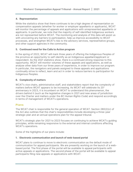#### **4. Representation**

While the statistics show that there continues to be a high degree of representation on compensation appeals (whether for worker or employer appellants or applicants), WCAT will monitor the percentage of appeals and applications with unrepresented appellants or applicants. In particular, we note that the majority of self-identified Indigenous workers are not represented before WCAT. The monitoring and analysis of this data will assist us with uncovering any barriers to participation, help us improve accessibility to WCAT processes, and strengthen WCAT's ties to the advisory services, representative groups, and other support agencies in the community.

## **5. Continued need for the Calls to Action program**

In the spring of 2022, WCAT will mark three years of offering the Indigenous Peoples of the province an opportunity to self-identify as an Indigenous appellant/applicant or respondent. As the 2021 statistics show, there is a continued strong response to this opportunity. WCAT will monitor volumes of these appeals and applications, as well as analyse other data from our three years of experience, in order to improve our program. In particular, the navigators and panels assigned to these appeals and applications continually strive to reflect, learn and act in order to reduce barriers to participation for Indigenous Peoples.

## **6. Complexity of matters**

WCAT's vice chairs, administrative staff, and stakeholders report that the complexity of matters before WCAT appears to be increasing. As WCAT will celebrate its 20<sup>th</sup> anniversary in 2023, it is incumbent on WCAT to understand this phenomenon, the drivers behind it (such as the legislative changes in 2021 and new areas of jurisdiction over the Charter and matters under the *BC Human Rights Code*) and respond accordingly in terms of management of WCAT's operations.

## **Plans**

The WCAT chair is responsible for the general operation of WCAT. Section 280(2)(c) of the Act also outlines that the chair's responsibilities include developing a three-year strategic plan and an annual operations plan for the appeal tribunal.

WCAT's strategic plan for 2021 to 2023 focuses on continuing to achieve WCAT's guiding principles, while remaining responsive to the external and internal conditions affecting WCAT's operations.

Some of the highlights of our plans include:

#### **1. Electronic communication and launch of web-based portal**

WCAT plans to continue to move to electronic communication as the default mode of communication for appeal participants. We are presently working on the launch of a webbased portal. The first phase of the portal will be available to appeal participants with active appeals or applications. The second phase of the portal will be available to appeal participants filing new appeals or applications with WCAT.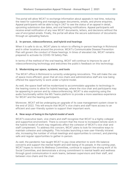The portal will allow WCAT to exchange information about appeals in real time, reducing the need for submitting and managing paper documents, emails, and phone enquiries. Appeal participants will be able to log in 24/7 to see the status of an appeal in detail, upcoming submission due dates, and oral hearing notifications. Appeal participants will receive email notification of any new WCAT documents, letters, and decisions without the use of encrypted emails. Finally, the portal will allow the secure submission of documents through an uploading feature.

#### **2. In-person, videoconference, and hybrid oral hearings**

When it is safe to do so, WCAT plans to return to offering in-person hearings in Richmond and in other locations around the province. WCAT's Communicable Disease Prevention Plan will govern the conduct of these hearings. In times of elevated risk, WCAT remains prepared to activate its COVID-19 Safety Plan.

In terms of the method of the oral hearing, WCAT will continue to improve its use of videoconferencing technology and welcomes the public's feedback on this technology.

#### **3. Modernizing our space, systems, and tools**

The WCAT office in Richmond is currently undergoing renovations. This will make the use of space more efficient, given that all vice chairs and administrative staff are now being offered the opportunity to work under a hybrid model.

As well, the space itself will be modernized to accommodate upgrades to technology in the hearing rooms to allow for hybrid hearings, where the vice chair and participants may be appearing in-person and by videoconferencing. WCAT is also exploring using the audio functionality within the MS Teams platform to provide a more seamless experience for WCAT and the hearing participants.

Moreover, WCAT will be undergoing an upgrade of its case management system closer to the end of 2022. This will ensure that WCAT's vice chairs and staff have access to an efficient and user-friendly system to support their important work.

#### **4. New ways of being in the hybrid model of work**

WCAT's executive team, vice chairs and staff recognize that WCAT is a highly collegial and supportive environment. There is concern that the move to increased remote work in the hybrid model of work may negatively affect the cohesion of WCAT's vice chair and staff complement. To address this concern, WCAT plans to look for innovative ways to maintain cohesion and collegiality. This includes launching a new user-friendly intranet site, increasing the number of virtual meetings and opportunities to connect, and planning safe and regular opportunities to gather in-person.

As well, the pandemic has taught WCAT to pay close attention to work-life balance concerns and support the mental health and well-being of its people. In the coming year, WCAT hopes to revive its Wellness Committee, continue to support the strong work of its Social Committee, and demonstrate a strong commitment to mental health and wellness through good communication in work teams, between supervisors and their staff, and between vice chairs and the chair.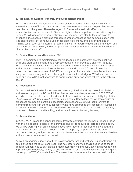#### **5. Training, knowledge-transfer, and succession planning**

WCAT, like many organizations, is affected by labour force demographics. WCAT is aware that some of its seasoned vice chairs plan to retire or convert to per diem status over the next five years. These demographic forces will also likely affect our administrative staff complement. Given the high level of competencies and skills required to be a WCAT vice chair or administrative staff member, we plan to look for ways to enhance our succession planning through rigorous forecasting and communication with vice chairs and staff, continued use of per diem vice chairs, and a strengthening of training tools, such as mentoring, 3-person panels, noteworthy decision identification and publication, cross-training, and other programs to assist with the transfer of knowledge of vice chairs and staff.

## **6. Equity, Diversity and Inclusion (EDI)**

WCAT is committed to maintaining a knowledgeable and competent professional vice chair and staff complement that is representative of our province's diversity. In 2022, WCAT plans to launch its EDI initiatives, including the retention of a consultant to assist and advise an internal committee in this work, an audit of WCAT's recruitment and retention practices, a survey of WCAT's existing vice chair and staff complement, and an invigorated community outreach strategy to increase knowledge of WCAT and career opportunities. WCAT looks forward to coordinating our efforts with others in the tribunal sector.

#### **7. Accessibility**

As a tribunal, WCAT adjudicates matters involving physical and psychological disability and serves the public in BC, which has diverse needs and experiences. In 2022, WCAT intends to comply with the spirit and intent of the province's new accessibility legislation (*Accessible British Columbia Act*) by forming a committee to lead the work to ensure our processes are people-centred, accessible, and responsive. WCAT looks forward to learning from others in the tribunal sector who have embraced the concept of "justice as a service" and who recognize the need to respond to the public's needs with sensitivity to one's own biases, cultural humility, and a commitment to life-long learning.

#### **8. Reconciliation**

In 2022, WCAT plans to deepen its commitment to continue the journey of reconciliation with the Indigenous Peoples of the province and act to reduce barriers to participation. We will be working with an Indigenous coop law student to research the law about the application of social context evidence in WCAT appeals, prepare a synopsis of WCAT decisions involving Indigenous persons, and learn about the practice of administrative law in the workers' compensation context.

As well, an ongoing survey about the navigator program and oral hearing adaptations will be collated and the results analysed. The navigators and vice chairs assigned to these appeals will continue to participate in dedicated training and evaluation initiatives to help improve service delivery, quality of decision-making, and relationship-building to engage the support of WCAT stakeholders. The overall aim is to reduce barriers to participation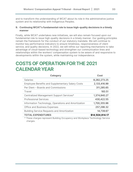and to transform the understanding of WCAT about its role in the administrative justice system and its relationship with Indigenous Peoples.

#### **9. Continuing WCAT's fundamental role to issue high-quality decisions in a timely manner**

Finally, while WCAT undertakes new initiatives, we will also remain focused upon our fundamental role to issue high-quality decisions in a timely manner. Our guiding principles remain the framework for the conduct of our statutory mandate. We will continue to monitor key performance indicators to ensure timeliness, responsiveness of client service, and quality decisions. In 2022, we will refine our reporting mechanisms to take advantage of cloud-based technology and strengthen our communication lines and relationships within the workers' compensation system to be aware of and responsive to developments within the system, while maintaining our independence.

# <span id="page-32-0"></span>**COSTS OF OPERATION FOR THE 2021 CALENDAR YEAR**

| <b>Category</b>                                         | Cost            |
|---------------------------------------------------------|-----------------|
| <b>Salaries</b>                                         | 8,282,273.25    |
| <b>Employee Benefits and Supplementary Salary Costs</b> | 2,133,416.99    |
| Per Diem - Boards and Commissions                       | 311,285.65      |
| Travel                                                  | 183.51          |
| Centralized Management Support Services*                | 1,374,840.27    |
| <b>Professional Services</b>                            | 430,422.55      |
| Information Technology, Operations and Amortization     | 1,700,355.96    |
| <b>Office and Business Expenses</b>                     | 257,296.32      |
| <b>Building Service Requests and Amortization</b>       | 14,739.67       |
| <b>TOTAL EXPENDITURES</b>                               | \$14,504,814.17 |

\* These charges represent Building Occupancy and Workplace Technology Service charges.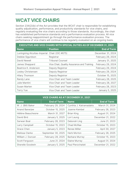# <span id="page-33-0"></span>**WCAT VICE CHAIRS**

Section 234(2)(b) of the Act provides that the WCAT chair is responsible for establishing quality adjudication, performance, and productivity standards for vice chairs, and regularly evaluating the vice chairs according to those standards. Accordingly, the chair has established performance standards and a performance evaluation process. All vice chairs seeking reappointment go through the performance evaluation process. The performance of vice chairs will continue to be regularly evaluated on an ongoing basis.

| <b>EXECUTIVE AND VICE CHAIRS WITH SPECIAL DUTIES AS OF DECEMBER 31, 2021</b> |                                            |                    |  |
|------------------------------------------------------------------------------|--------------------------------------------|--------------------|--|
| <b>Name</b>                                                                  | <b>Position</b>                            | <b>End of Term</b> |  |
| Luningning Alcuitas-Imperial Chair (OIC #675)                                |                                            | December 31, 2024  |  |
| Debbie Sigurdson                                                             | Registrar                                  | February 29, 2024  |  |
| David Newell                                                                 | <b>Tribunal Counsel</b>                    | January 31, 2025   |  |
| James Sheppard                                                               | Vice Chair, Quality Assurance and Training | February 29, 2024  |  |
| Beatrice K. Anderson                                                         | Deputy Registrar                           | February 29, 2024  |  |
| Lesley Christensen                                                           | Deputy Registrar                           | February 29, 2024  |  |
| <b>Hilary Thomson</b>                                                        | Deputy Registrar                           | October 15, 2025   |  |
| Randy Lane                                                                   | Vice Chair and Team Leader                 | February 28, 2025  |  |
| Julie Mantini                                                                | Vice Chair and Team Leader                 | February 28, 2027  |  |
| Susan Marten                                                                 | Vice Chair and Team Leader                 | February 28, 2023  |  |
| <b>Terry Yue</b>                                                             | Vice Chair and Team Leader                 | January 5, 2025    |  |

| <b>VICE CHAIRS AS AT DECEMBER 31, 2021</b> |                    |                                        |                    |  |
|--------------------------------------------|--------------------|----------------------------------------|--------------------|--|
| <b>Name</b>                                | <b>End of Term</b> | <b>Name</b>                            | <b>End of Term</b> |  |
| W. J. (Bill) Baker  February 29, 2024      |                    | Cynthia J. Katramadakis March 31, 2024 |                    |  |
| Anand Banerjee  October 15, 2025           |                    | Joanne Kembel February 28, 2023        |                    |  |
| Hélène Beauchesne  March 31, 2027          |                    | Brian King August 31, 2024             |                    |  |
| David BirdJanuary 5, 2025                  |                    | Lori Leung  December 21, 2022          |                    |  |
| Sarwan Boal February 28, 2023              |                    | Deborah Ling June 21, 2023             |                    |  |
| Larry Campbell  October 15, 2023           |                    | Chad McRae  October 15, 2023           |                    |  |
| Grace ChenJanuary 5, 2023                  |                    |                                        |                    |  |
| Melissa Clarke  September 30, 2025         |                    | Herb Morton  February 28, 2025         |                    |  |
| William J. Duncan  February 28, 2025       |                    | Barbara Murray  October 15, 2023       |                    |  |
| Scott Ferguson June 21, 2024               |                    | Elaine MurrayAugust 31, 2024           |                    |  |
| Sherelle Goodwin  January 5, 2025          |                    | Paul Pierzchalski  December 21, 2022   |                    |  |